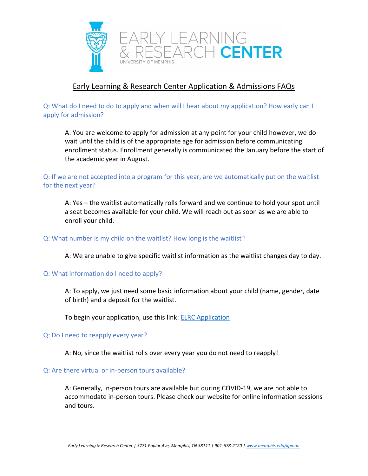

# Early Learning & Research Center Application & Admissions FAQs

Y LEARNING<br>SEARCH **CENTER** 

## Q: What do I need to do to apply and when will I hear about my application? How early can I apply for admission?

A: You are welcome to apply for admission at any point for your child however, we do wait until the child is of the appropriate age for admission before communicating enrollment status. Enrollment generally is communicated the January before the start of the academic year in August.

## Q: If we are not accepted into a program for this year, are we automatically put on the waitlist for the next year?

A: Yes – the waitlist automatically rolls forward and we continue to hold your spot until a seat becomes available for your child. We will reach out as soon as we are able to enroll your child.

#### Q: What number is my child on the waitlist? How long is the waitlist?

A: We are unable to give specific waitlist information as the waitlist changes day to day.

#### Q: What information do I need to apply?

A: To apply, we just need some basic information about your child (name, gender, date of birth) and a deposit for the waitlist.

To begin your application, use this link: [ELRC Application](https://secure.touchnet.com/C20227_ustores/web/product_detail.jsp?PRODUCTID=738&SINGLESTORE=true)

#### Q: Do I need to reapply every year?

A: No, since the waitlist rolls over every year you do not need to reapply!

#### Q: Are there virtual or in-person tours available?

A: Generally, in-person tours are available but during COVID-19, we are not able to accommodate in-person tours. Please check our website for online information sessions and tours.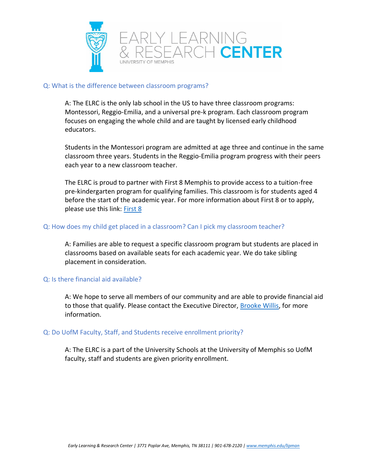



#### Q: What is the difference between classroom programs?

A: The ELRC is the only lab school in the US to have three classroom programs: Montessori, Reggio-Emilia, and a universal pre-k program. Each classroom program focuses on engaging the whole child and are taught by licensed early childhood educators.

Students in the Montessori program are admitted at age three and continue in the same classroom three years. Students in the Reggio-Emilia program progress with their peers each year to a new classroom teacher.

The ELRC is proud to partner with First 8 Memphis to provide access to a tuition-free pre-kindergarten program for qualifying families. This classroom is for students aged 4 before the start of the academic year. For more information about First 8 or to apply, please use this link: [First 8](https://www.memphis.edu/lipman/apply/index.php)

#### Q: How does my child get placed in a classroom? Can I pick my classroom teacher?

A: Families are able to request a specific classroom program but students are placed in classrooms based on available seats for each academic year. We do take sibling placement in consideration.

#### Q: Is there financial aid available?

A: We hope to serve all members of our community and are able to provide financial aid to those that qualify. Please contact the Executive Director, [Brooke Willis,](mailto:bwillis@memphis.edu) for more information.

#### Q: Do UofM Faculty, Staff, and Students receive enrollment priority?

A: The ELRC is a part of the University Schools at the University of Memphis so UofM faculty, staff and students are given priority enrollment.